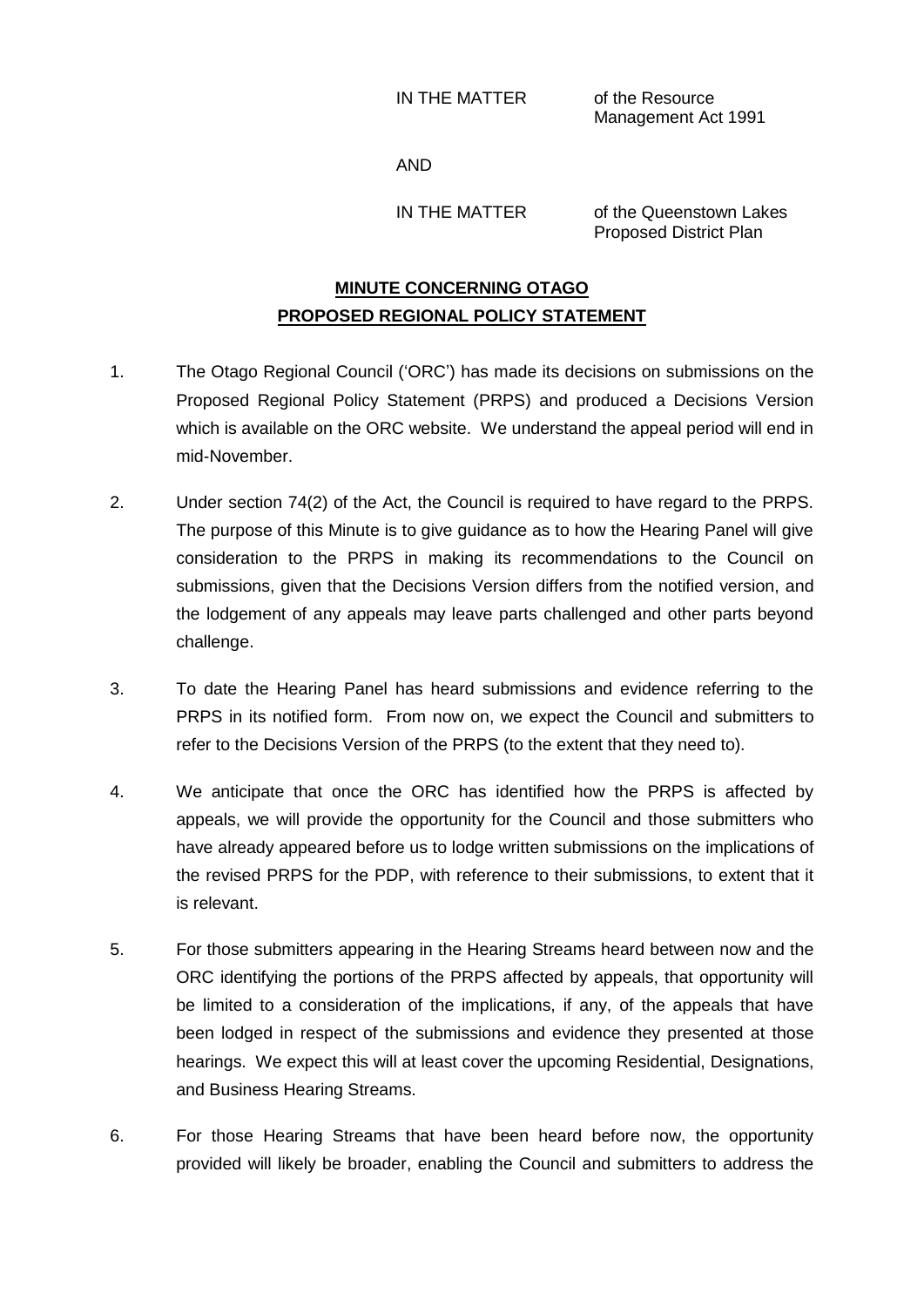IN THE MATTER of the Resource

Management Act 1991

AND

IN THE MATTER of the Queenstown Lakes Proposed District Plan

## **MINUTE CONCERNING OTAGO PROPOSED REGIONAL POLICY STATEMENT**

- 1. The Otago Regional Council ('ORC') has made its decisions on submissions on the Proposed Regional Policy Statement (PRPS) and produced a Decisions Version which is available on the ORC website. We understand the appeal period will end in mid-November.
- 2. Under section 74(2) of the Act, the Council is required to have regard to the PRPS. The purpose of this Minute is to give guidance as to how the Hearing Panel will give consideration to the PRPS in making its recommendations to the Council on submissions, given that the Decisions Version differs from the notified version, and the lodgement of any appeals may leave parts challenged and other parts beyond challenge.
- 3. To date the Hearing Panel has heard submissions and evidence referring to the PRPS in its notified form. From now on, we expect the Council and submitters to refer to the Decisions Version of the PRPS (to the extent that they need to).
- 4. We anticipate that once the ORC has identified how the PRPS is affected by appeals, we will provide the opportunity for the Council and those submitters who have already appeared before us to lodge written submissions on the implications of the revised PRPS for the PDP, with reference to their submissions, to extent that it is relevant.
- 5. For those submitters appearing in the Hearing Streams heard between now and the ORC identifying the portions of the PRPS affected by appeals, that opportunity will be limited to a consideration of the implications, if any, of the appeals that have been lodged in respect of the submissions and evidence they presented at those hearings. We expect this will at least cover the upcoming Residential, Designations, and Business Hearing Streams.
- 6. For those Hearing Streams that have been heard before now, the opportunity provided will likely be broader, enabling the Council and submitters to address the